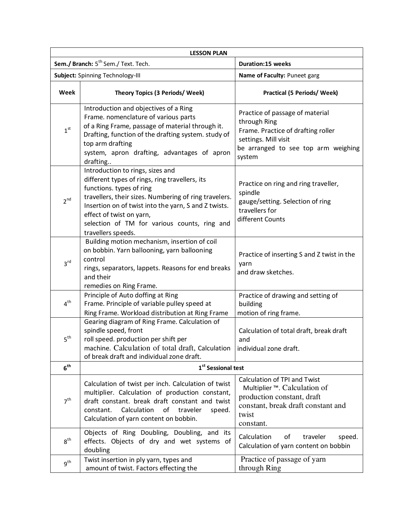| <b>LESSON PLAN</b>                              |                                                                                                                                                                                                                                                                                                                                   |                                                                                                                                                                |  |
|-------------------------------------------------|-----------------------------------------------------------------------------------------------------------------------------------------------------------------------------------------------------------------------------------------------------------------------------------------------------------------------------------|----------------------------------------------------------------------------------------------------------------------------------------------------------------|--|
| Sem./ Branch: 5 <sup>th</sup> Sem./ Text. Tech. |                                                                                                                                                                                                                                                                                                                                   | Duration:15 weeks                                                                                                                                              |  |
| Subject: Spinning Technology-III                |                                                                                                                                                                                                                                                                                                                                   | Name of Faculty: Puneet garg                                                                                                                                   |  |
| Week                                            | Theory Topics (3 Periods/ Week)                                                                                                                                                                                                                                                                                                   | <b>Practical (5 Periods/ Week)</b>                                                                                                                             |  |
| 1 <sup>st</sup>                                 | Introduction and objectives of a Ring<br>Frame. nomenclature of various parts<br>of a Ring Frame, passage of material through it.<br>Drafting, function of the drafting system. study of<br>top arm drafting<br>system, apron drafting, advantages of apron<br>drafting                                                           | Practice of passage of material<br>through Ring<br>Frame. Practice of drafting roller<br>settings. Mill visit<br>be arranged to see top arm weighing<br>system |  |
| $2^{nd}$                                        | Introduction to rings, sizes and<br>different types of rings, ring travellers, its<br>functions. types of ring<br>travellers, their sizes. Numbering of ring travelers.<br>Insertion on of twist into the yarn, S and Z twists.<br>effect of twist on yarn,<br>selection of TM for various counts, ring and<br>travellers speeds. | Practice on ring and ring traveller,<br>spindle<br>gauge/setting. Selection of ring<br>travellers for<br>different Counts                                      |  |
| 3 <sup>rd</sup>                                 | Building motion mechanism, insertion of coil<br>on bobbin. Yarn ballooning, yarn ballooning<br>control<br>rings, separators, lappets. Reasons for end breaks<br>and their                                                                                                                                                         | Practice of inserting S and Z twist in the<br>yarn<br>and draw sketches.                                                                                       |  |
| 4 <sup>th</sup>                                 | remedies on Ring Frame.<br>Principle of Auto doffing at Ring<br>Frame. Principle of variable pulley speed at<br>Ring Frame. Workload distribution at Ring Frame                                                                                                                                                                   | Practice of drawing and setting of<br>building<br>motion of ring frame.                                                                                        |  |
| 5 <sup>th</sup>                                 | Gearing diagram of Ring Frame. Calculation of<br>spindle speed, front<br>roll speed. production per shift per<br>machine. Calculation of total draft, Calculation<br>of break draft and individual zone draft.                                                                                                                    | Calculation of total draft, break draft<br>and<br>individual zone draft.                                                                                       |  |
| 6 <sup>th</sup>                                 | 1 <sup>st</sup> Sessional test                                                                                                                                                                                                                                                                                                    |                                                                                                                                                                |  |
| 7 <sup>th</sup>                                 | Calculation of twist per inch. Calculation of twist<br>multiplier. Calculation of production constant,<br>draft constant. break draft constant and twist<br>Calculation<br>of<br>constant.<br>traveler<br>speed.<br>Calculation of yarn content on bobbin.                                                                        | Calculation of TPI and Twist<br>Multiplier ™. Calculation of<br>production constant, draft<br>constant, break draft constant and<br>twist<br>constant.         |  |
| $8^{\text{th}}$                                 | Objects of Ring Doubling, Doubling, and its<br>effects. Objects of dry and wet systems of<br>doubling                                                                                                                                                                                                                             | Calculation<br>of<br>traveler<br>speed.<br>Calculation of yarn content on bobbin                                                                               |  |
| $q^{th}$                                        | Twist insertion in ply yarn, types and<br>amount of twist. Factors effecting the                                                                                                                                                                                                                                                  | Practice of passage of yarn<br>through Ring                                                                                                                    |  |